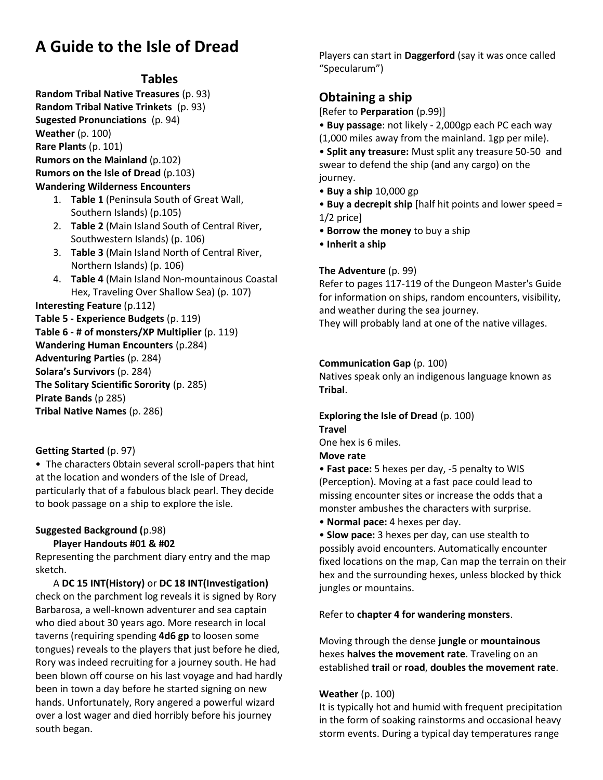## **A Guide to the Isle of Dread**

#### **Tables**

**Random Tribal Native Treasures** (p. 93) **Random Tribal Native Trinkets** (p. 93) **Sugested Pronunciations** (p. 94) **Weather** (p. 100) **Rare Plants** (p. 101) **Rumors on the Mainland** (p.102) **Rumors on the Isle of Dread** (p.103) **Wandering Wilderness Encounters**

- 1. **Table 1** (Peninsula South of Great Wall, Southern Islands) (p.105)
- 2. **Table 2** (Main Island South of Central River, Southwestern Islands) (p. 106)
- 3. **Table 3** (Main Island North of Central River, Northern Islands) (p. 106)
- 4. **Table 4** (Main Island Non-mountainous Coastal Hex, Traveling Over Shallow Sea) (p. 107)

**Interesting Feature** (p.112) **Table 5 - Experience Budgets** (p. 119) **Table 6 - # of monsters/XP Multiplier** (p. 119) **Wandering Human Encounters** (p.284) **Adventuring Parties** (p. 284)

**Solara's Survivors** (p. 284)

**The Solitary Scientific Sorority** (p. 285)

**Pirate Bands** (p 285)

**Tribal Native Names** (p. 286)

#### **Getting Started** (p. 97)

• The characters 0btain several scroll-papers that hint at the location and wonders of the Isle of Dread, particularly that of a fabulous black pearl. They decide to book passage on a ship to explore the isle.

#### **Suggested Background (**p.98)

#### **Player Handouts #01 & #02**

Representing the parchment diary entry and the map sketch.

A **DC 15 INT(History)** or **DC 18 INT(Investigation)** check on the parchment log reveals it is signed by Rory Barbarosa, a well-known adventurer and sea captain who died about 30 years ago. More research in local taverns (requiring spending **4d6 gp** to loosen some tongues) reveals to the players that just before he died, Rory was indeed recruiting for a journey south. He had been blown off course on his last voyage and had hardly been in town a day before he started signing on new hands. Unfortunately, Rory angered a powerful wizard over a lost wager and died horribly before his journey south began.

Players can start in **Daggerford** (say it was once called "Specularum")

### **Obtaining a ship**

[Refer to **Perparation** (p.99)]

• **Buy passage**: not likely - 2,000gp each PC each way (1,000 miles away from the mainland. 1gp per mile).

• **Split any treasure:** Must split any treasure 50-50 and swear to defend the ship (and any cargo) on the journey.

• **Buy a ship** 10,000 gp

• **Buy a decrepit ship** [half hit points and lower speed = 1/2 price]

- **Borrow the money** to buy a ship
- **Inherit a ship**

#### **The Adventure** (p. 99)

Refer to pages 117-119 of the Dungeon Master's Guide for information on ships, random encounters, visibility, and weather during the sea journey.

They will probably land at one of the native villages.

#### **Communication Gap** (p. 100)

Natives speak only an indigenous language known as **Tribal**.

#### **Exploring the Isle of Dread** (p. 100) **Travel**

One hex is 6 miles.

- **Move rate**
- **Fast pace:** 5 hexes per day, -5 penalty to WIS (Perception). Moving at a fast pace could lead to missing encounter sites or increase the odds that a monster ambushes the characters with surprise.

• **Normal pace:** 4 hexes per day.

• **Slow pace:** 3 hexes per day, can use stealth to possibly avoid encounters. Automatically encounter fixed locations on the map, Can map the terrain on their hex and the surrounding hexes, unless blocked by thick jungles or mountains.

#### Refer to **chapter 4 for wandering monsters**.

Moving through the dense **jungle** or **mountainous** hexes **halves the movement rate**. Traveling on an established **trail** or **road**, **doubles the movement rate**.

#### **Weather** (p. 100)

It is typically hot and humid with frequent precipitation in the form of soaking rainstorms and occasional heavy storm events. During a typical day temperatures range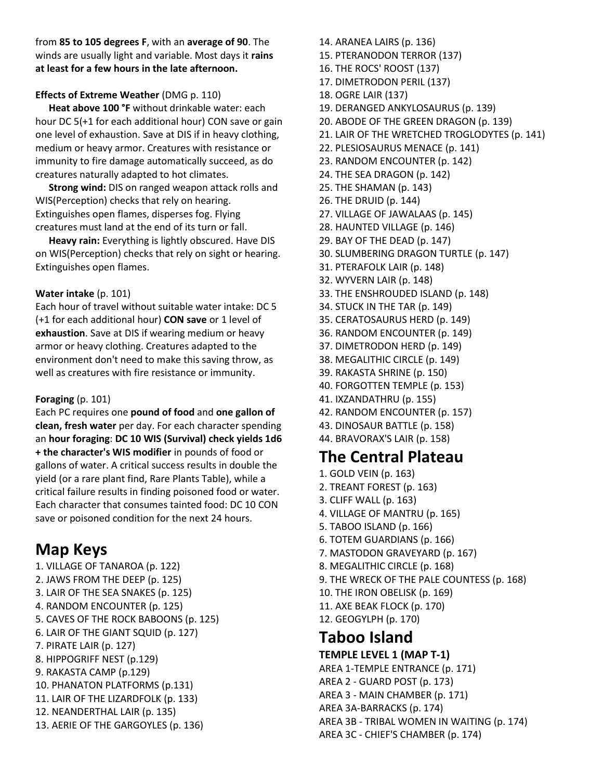from **85 to 105 degrees F**, with an **average of 90**. The winds are usually light and variable. Most days it **rains at least for a few hours in the late afternoon.**

#### **Effects of Extreme Weather** (DMG p. 110)

**Heat above 100 °F** without drinkable water: each hour DC 5(+1 for each additional hour) CON save or gain one level of exhaustion. Save at DIS if in heavy clothing, medium or heavy armor. Creatures with resistance or immunity to fire damage automatically succeed, as do creatures naturally adapted to hot climates.

**Strong wind:** DIS on ranged weapon attack rolls and WIS(Perception) checks that rely on hearing. Extinguishes open flames, disperses fog. Flying creatures must land at the end of its turn or fall.

**Heavy rain:** Everything is lightly obscured. Have DIS on WIS(Perception) checks that rely on sight or hearing. Extinguishes open flames.

#### **Water intake** (p. 101)

Each hour of travel without suitable water intake: DC 5 (+1 for each additional hour) **CON save** or 1 level of **exhaustion**. Save at DIS if wearing medium or heavy armor or heavy clothing. Creatures adapted to the environment don't need to make this saving throw, as well as creatures with fire resistance or immunity.

#### **Foraging** (p. 101)

Each PC requires one **pound of food** and **one gallon of clean, fresh water** per day. For each character spending an **hour foraging**: **DC 10 WIS (Survival) check yields 1d6 + the character's WIS modifier** in pounds of food or gallons of water. A critical success results in double the yield (or a rare plant find, Rare Plants Table), while a critical failure results in finding poisoned food or water. Each character that consumes tainted food: DC 10 CON save or poisoned condition for the next 24 hours.

### **Map Keys**

1. VILLAGE OF TANAROA (p. 122) 2. JAWS FROM THE DEEP (p. 125) 3. LAIR OF THE SEA SNAKES (p. 125) 4. RANDOM ENCOUNTER (p. 125) 5. CAVES OF THE ROCK BABOONS (p. 125) 6. LAIR OF THE GIANT SQUID (p. 127) 7. PIRATE LAIR (p. 127) 8. HIPPOGRIFF NEST (p.129) 9. RAKASTA CAMP (p.129) 10. PHANATON PLATFORMS (p.131) 11. LAIR OF THE LIZARDFOLK (p. 133) 12. NEANDERTHAL LAIR (p. 135) 13. AERIE OF THE GARGOYLES (p. 136)

14. ARANEA LAIRS (p. 136) 15. PTERANODON TERROR (137) 16. THE ROCS' ROOST (137) 17. DIMETRODON PERIL (137) 18. OGRE LAIR (137) 19. DERANGED ANKYLOSAURUS (p. 139) 20. ABODE OF THE GREEN DRAGON (p. 139) 21. LAIR OF THE WRETCHED TROGLODYTES (p. 141) 22. PLESIOSAURUS MENACE (p. 141) 23. RANDOM ENCOUNTER (p. 142) 24. THE SEA DRAGON (p. 142) 25. THE SHAMAN (p. 143) 26. THE DRUID (p. 144) 27. VILLAGE OF JAWALAAS (p. 145) 28. HAUNTED VILLAGE (p. 146) 29. BAY OF THE DEAD (p. 147) 30. SLUMBERING DRAGON TURTLE (p. 147) 31. PTERAFOLK LAIR (p. 148) 32. WYVERN LAIR (p. 148) 33. THE ENSHROUDED ISLAND (p. 148) 34. STUCK IN THE TAR (p. 149) 35. CERATOSAURUS HERD (p. 149) 36. RANDOM ENCOUNTER (p. 149) 37. DIMETRODON HERD (p. 149) 38. MEGALITHIC CIRCLE (p. 149) 39. RAKASTA SHRINE (p. 150) 40. FORGOTTEN TEMPLE (p. 153) 41. IXZANDATHRU (p. 155) 42. RANDOM ENCOUNTER (p. 157) 43. DINOSAUR BATTLE (p. 158) 44. BRAVORAX'S LAIR (p. 158) **The Central Plateau** 1. GOLD VEIN (p. 163)

- 2. TREANT FOREST (p. 163)
- 3. CLIFF WALL (p. 163)
- 4. VILLAGE OF MANTRU (p. 165)
- 5. TABOO ISLAND (p. 166)
- 6. TOTEM GUARDIANS (p. 166)
- 7. MASTODON GRAVEYARD (p. 167)
- 8. MEGALITHIC CIRCLE (p. 168)
- 9. THE WRECK OF THE PALE COUNTESS (p. 168)
- 10. THE IRON OBELISK (p. 169)
- 11. AXE BEAK FLOCK (p. 170)
- 12. GEOGYLPH (p. 170)

## **Taboo Island**

#### **TEMPLE LEVEL 1 (MAP T-1)**

AREA 1-TEMPLE ENTRANCE (p. 171) AREA 2 - GUARD POST (p. 173) AREA 3 - MAIN CHAMBER (p. 171) AREA 3A-BARRACKS (p. 174) AREA 3B - TRIBAL WOMEN IN WAITING (p. 174) AREA 3C - CHIEF'S CHAMBER (p. 174)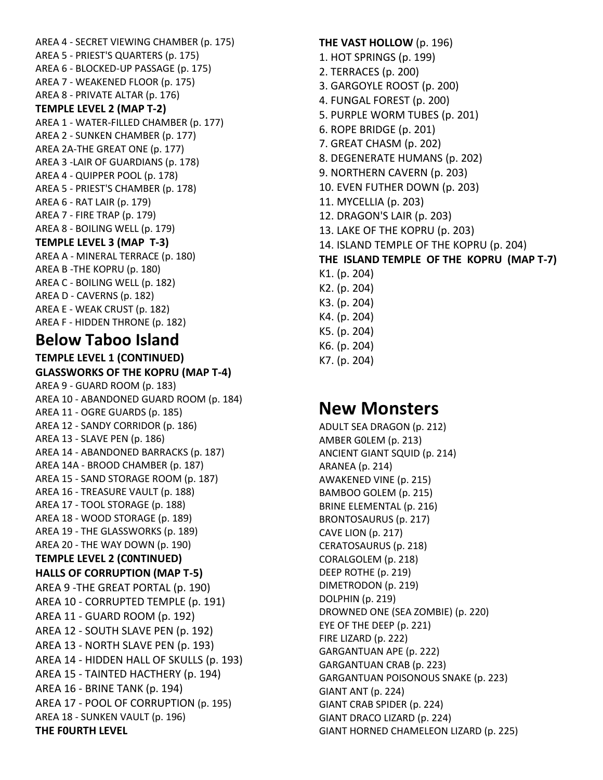AREA 4 - SECRET VIEWING CHAMBER (p. 175) AREA 5 - PRIEST'S QUARTERS (p. 175) AREA 6 - BLOCKED-UP PASSAGE (p. 175) AREA 7 - WEAKENED FLOOR (p. 175) AREA 8 - PRIVATE ALTAR (p. 176) **TEMPLE LEVEL 2 (MAP T-2)** AREA 1 - WATER-FILLED CHAMBER (p. 177) AREA 2 - SUNKEN CHAMBER (p. 177) AREA 2A-THE GREAT ONE (p. 177) AREA 3 -LAIR OF GUARDIANS (p. 178) AREA 4 - QUIPPER POOL (p. 178) AREA 5 - PRIEST'S CHAMBER (p. 178) AREA 6 - RAT LAIR (p. 179) AREA 7 - FIRE TRAP (p. 179) AREA 8 - BOILING WELL (p. 179) **TEMPLE LEVEL 3 (MAP T-3)** AREA A - MINERAL TERRACE (p. 180) AREA B -THE KOPRU (p. 180) AREA C - BOILING WELL (p. 182) AREA D - CAVERNS (p. 182) AREA E - WEAK CRUST (p. 182) AREA F - HIDDEN THRONE (p. 182) **Below Taboo Island TEMPLE LEVEL 1 (CONTINUED) GLASSWORKS OF THE KOPRU (MAP T-4)** AREA 9 - GUARD ROOM (p. 183) AREA 10 - ABANDONED GUARD ROOM (p. 184) AREA 11 - OGRE GUARDS (p. 185) AREA 12 - SANDY CORRIDOR (p. 186) AREA 13 - SLAVE PEN (p. 186) AREA 14 - ABANDONED BARRACKS (p. 187) AREA 14A - BROOD CHAMBER (p. 187) AREA 15 - SAND STORAGE ROOM (p. 187) AREA 16 - TREASURE VAULT (p. 188)

AREA 17 - TOOL STORAGE (p. 188) AREA 18 - WOOD STORAGE (p. 189) AREA 19 - THE GLASSWORKS (p. 189) AREA 20 - THE WAY DOWN (p. 190) **TEMPLE LEVEL 2 (C0NTINUED) HALLS OF CORRUPTION (MAP T-5)** AREA 9 -THE GREAT PORTAL (p. 190) AREA 10 - CORRUPTED TEMPLE (p. 191) AREA 11 - GUARD ROOM (p. 192) AREA 12 - SOUTH SLAVE PEN (p. 192) AREA 13 - NORTH SLAVE PEN (p. 193) AREA 14 - HIDDEN HALL OF SKULLS (p. 193) AREA 15 - TAINTED HACTHERY (p. 194) AREA 16 - BRINE TANK (p. 194) AREA 17 - POOL OF CORRUPTION (p. 195) AREA 18 - SUNKEN VAULT (p. 196)

**THE F0URTH LEVEL** 

**New Monsters**

ADULT SEA DRAGON (p. 212) AMBER G0LEM (p. 213) ANCIENT GIANT SQUID (p. 214) ARANEA (p. 214) AWAKENED VINE (p. 215) BAMBOO GOLEM (p. 215) BRINE ELEMENTAL (p. 216) BRONTOSAURUS (p. 217) CAVE LION (p. 217) CERATOSAURUS (p. 218) CORALGOLEM (p. 218) DEEP ROTHE (p. 219) DIMETRODON (p. 219) DOLPHIN (p. 219) DROWNED ONE (SEA ZOMBIE) (p. 220) EYE OF THE DEEP (p. 221) FIRE LIZARD (p. 222) GARGANTUAN APE (p. 222) GARGANTUAN CRAB (p. 223) GARGANTUAN POISONOUS SNAKE (p. 223) GIANT ANT (p. 224) GIANT CRAB SPIDER (p. 224) GIANT DRACO LIZARD (p. 224) GIANT HORNED CHAMELEON LIZARD (p. 225)

**THE VAST HOLLOW** (p. 196) 1. HOT SPRINGS (p. 199) 2. TERRACES (p. 200) 3. GARGOYLE ROOST (p. 200) 4. FUNGAL FOREST (p. 200) 5. PURPLE WORM TUBES (p. 201) 6. ROPE BRIDGE (p. 201) 7. GREAT CHASM (p. 202) 8. DEGENERATE HUMANS (p. 202) 9. NORTHERN CAVERN (p. 203) 10. EVEN FUTHER DOWN (p. 203) 11. MYCELLIA (p. 203) 12. DRAGON'S LAIR (p. 203) 13. LAKE OF THE KOPRU (p. 203) 14. ISLAND TEMPLE OF THE KOPRU (p. 204) **THE ISLAND TEMPLE OF THE KOPRU (MAP T-7)** K1. (p. 204) K2. (p. 204) K3. (p. 204) K4. (p. 204) K5. (p. 204) K6. (p. 204) K7. (p. 204)